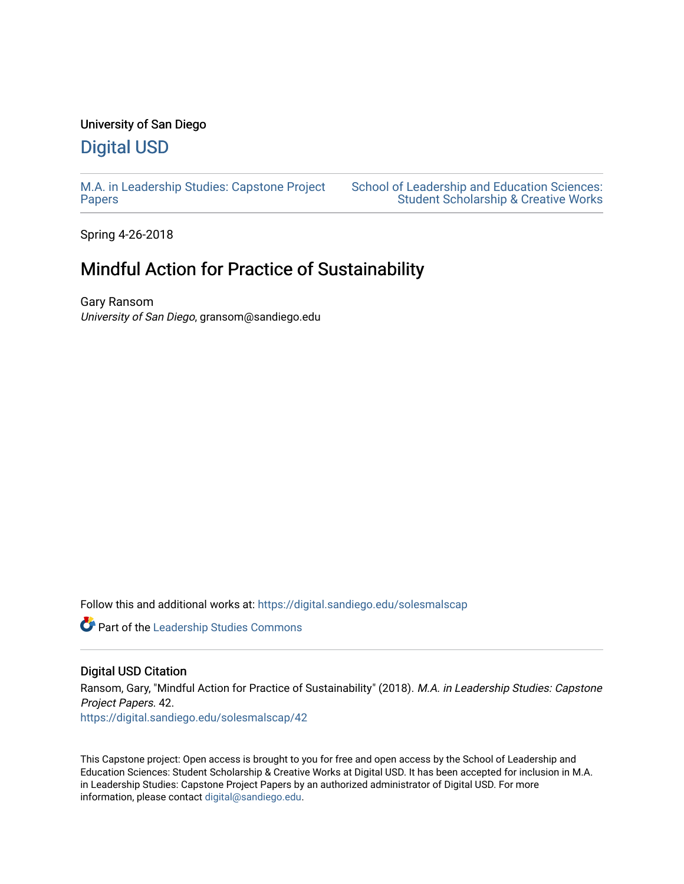### University of San Diego [Digital USD](https://digital.sandiego.edu/)

[M.A. in Leadership Studies: Capstone Project](https://digital.sandiego.edu/solesmalscap)

[School of Leadership and Education Sciences:](https://digital.sandiego.edu/soles-student)  [Student Scholarship & Creative Works](https://digital.sandiego.edu/soles-student) 

Spring 4-26-2018

[Papers](https://digital.sandiego.edu/solesmalscap)

### Mindful Action for Practice of Sustainability

Gary Ransom University of San Diego, gransom@sandiego.edu

Follow this and additional works at: [https://digital.sandiego.edu/solesmalscap](https://digital.sandiego.edu/solesmalscap?utm_source=digital.sandiego.edu%2Fsolesmalscap%2F42&utm_medium=PDF&utm_campaign=PDFCoverPages) 

Part of the [Leadership Studies Commons](http://network.bepress.com/hgg/discipline/1250?utm_source=digital.sandiego.edu%2Fsolesmalscap%2F42&utm_medium=PDF&utm_campaign=PDFCoverPages) 

#### Digital USD Citation

Ransom, Gary, "Mindful Action for Practice of Sustainability" (2018). M.A. in Leadership Studies: Capstone Project Papers. 42. [https://digital.sandiego.edu/solesmalscap/42](https://digital.sandiego.edu/solesmalscap/42?utm_source=digital.sandiego.edu%2Fsolesmalscap%2F42&utm_medium=PDF&utm_campaign=PDFCoverPages)

This Capstone project: Open access is brought to you for free and open access by the School of Leadership and Education Sciences: Student Scholarship & Creative Works at Digital USD. It has been accepted for inclusion in M.A. in Leadership Studies: Capstone Project Papers by an authorized administrator of Digital USD. For more information, please contact [digital@sandiego.edu.](mailto:digital@sandiego.edu)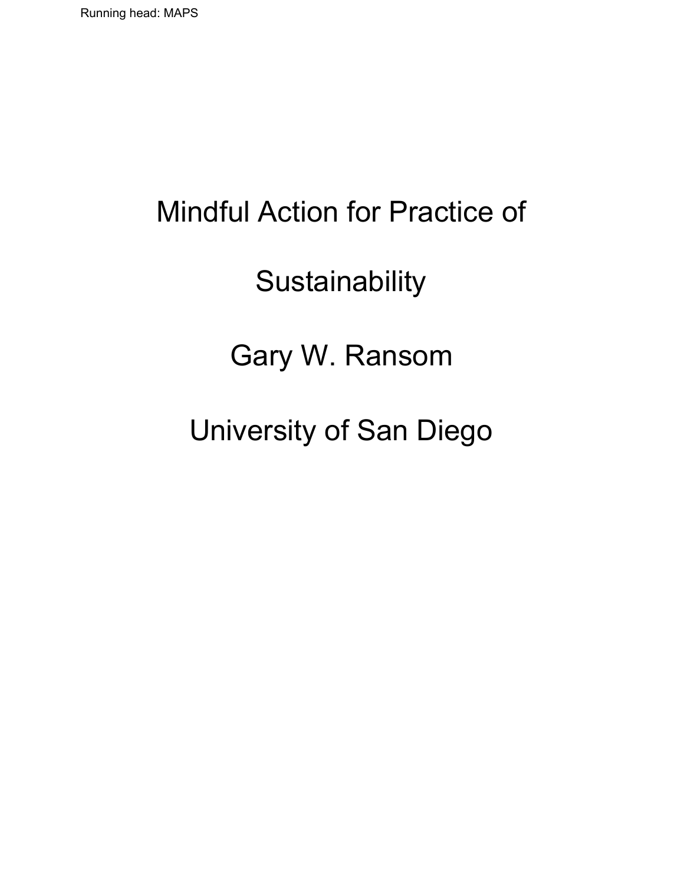# Mindful Action for Practice of

## **Sustainability**

### Gary W. Ransom

# University of San Diego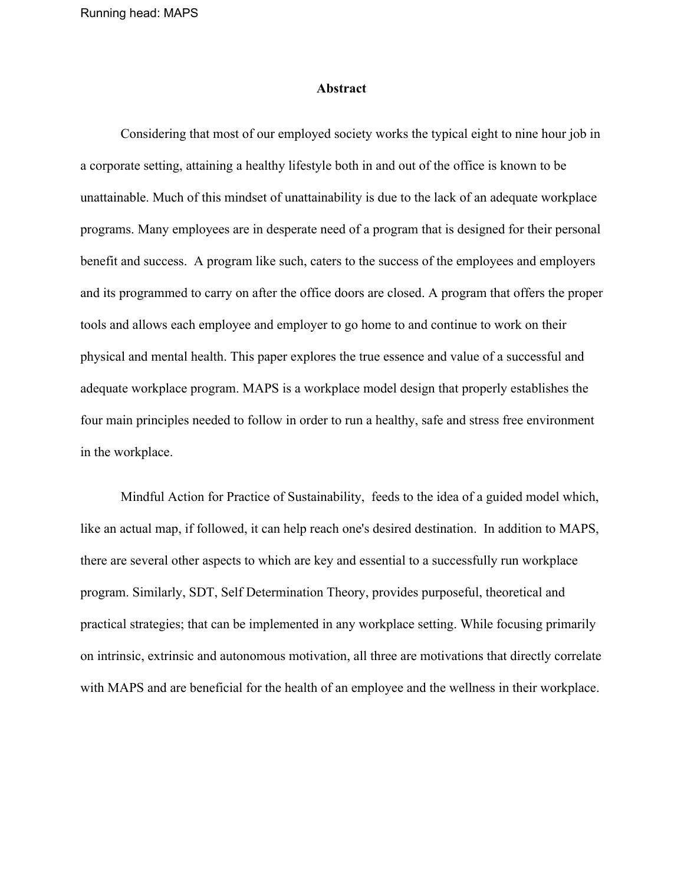#### **Abstract**

Considering that most of our employed society works the typical eight to nine hour job in a corporate setting, attaining a healthy lifestyle both in and out of the office is known to be unattainable. Much of this mindset of unattainability is due to the lack of an adequate workplace programs. Many employees are in desperate need of a program that is designed for their personal benefit and success. A program like such, caters to the success of the employees and employers and its programmed to carry on after the office doors are closed. A program that offers the proper tools and allows each employee and employer to go home to and continue to work on their physical and mental health. This paper explores the true essence and value of a successful and adequate workplace program. MAPS is a workplace model design that properly establishes the four main principles needed to follow in order to run a healthy, safe and stress free environment in the workplace.

Mindful Action for Practice of Sustainability, feeds to the idea of a guided model which, like an actual map, if followed, it can help reach one's desired destination. In addition to MAPS, there are several other aspects to which are key and essential to a successfully run workplace program. Similarly, SDT, Self Determination Theory, provides purposeful, theoretical and practical strategies; that can be implemented in any workplace setting. While focusing primarily on intrinsic, extrinsic and autonomous motivation, all three are motivations that directly correlate with MAPS and are beneficial for the health of an employee and the wellness in their workplace.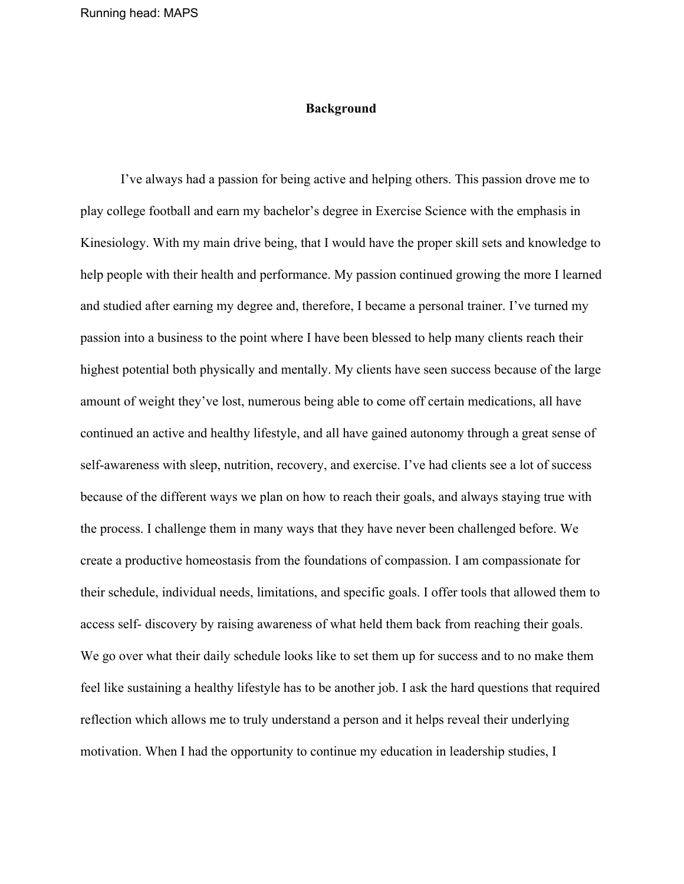#### **Background**

I've always had a passion for being active and helping others. This passion drove me to play college football and earn my bachelor's degree in Exercise Science with the emphasis in Kinesiology. With my main drive being, that I would have the proper skill sets and knowledge to help people with their health and performance. My passion continued growing the more I learned and studied after earning my degree and, therefore, I became a personal trainer. I've turned my passion into a business to the point where I have been blessed to help many clients reach their highest potential both physically and mentally. My clients have seen success because of the large amount of weight they've lost, numerous being able to come off certain medications, all have continued an active and healthy lifestyle, and all have gained autonomy through a great sense of self-awareness with sleep, nutrition, recovery, and exercise. I've had clients see a lot of success because of the different ways we plan on how to reach their goals, and always staying true with the process. I challenge them in many ways that they have never been challenged before. We create a productive homeostasis from the foundations of compassion. I am compassionate for their schedule, individual needs, limitations, and specific goals. I offer tools that allowed them to access self- discovery by raising awareness of what held them back from reaching their goals. We go over what their daily schedule looks like to set them up for success and to no make them feel like sustaining a healthy lifestyle has to be another job. I ask the hard questions that required reflection which allows me to truly understand a person and it helps reveal their underlying motivation. When I had the opportunity to continue my education in leadership studies, I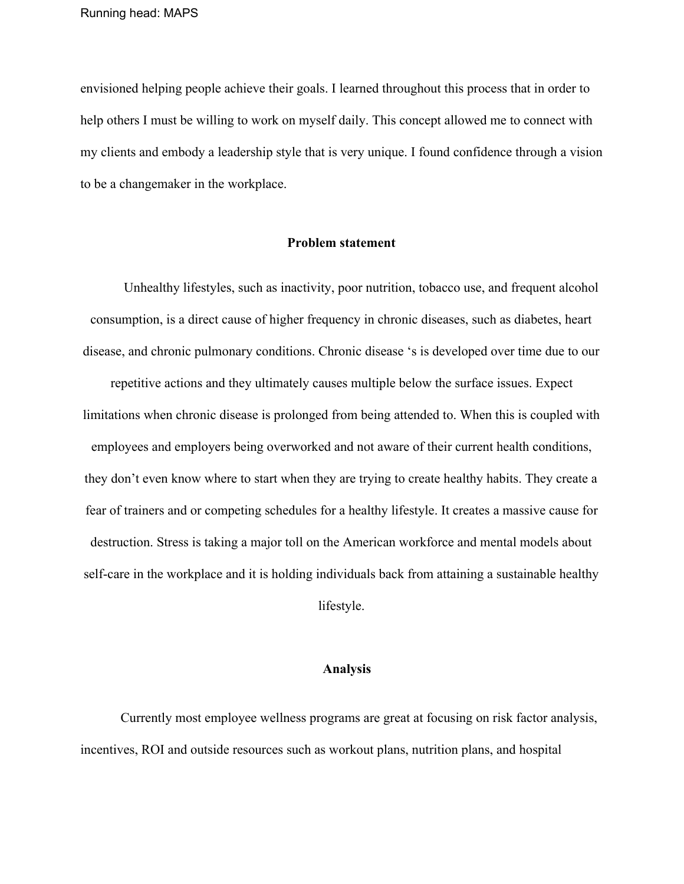envisioned helping people achieve their goals. I learned throughout this process that in order to help others I must be willing to work on myself daily. This concept allowed me to connect with my clients and embody a leadership style that is very unique. I found confidence through a vision to be a changemaker in the workplace.

#### **Problem statement**

Unhealthy lifestyles, such as inactivity, poor nutrition, tobacco use, and frequent alcohol consumption, is a direct cause of higher frequency in chronic diseases, such as diabetes, heart disease, and chronic pulmonary conditions. Chronic disease 's is developed over time due to our repetitive actions and they ultimately causes multiple below the surface issues. Expect limitations when chronic disease is prolonged from being attended to. When this is coupled with employees and employers being overworked and not aware of their current health conditions, they don't even know where to start when they are trying to create healthy habits. They create a fear of trainers and or competing schedules for a healthy lifestyle. It creates a massive cause for destruction. Stress is taking a major toll on the American workforce and mental models about self-care in the workplace and it is holding individuals back from attaining a sustainable healthy lifestyle.

#### **Analysis**

Currently most employee wellness programs are great at focusing on risk factor analysis, incentives, ROI and outside resources such as workout plans, nutrition plans, and hospital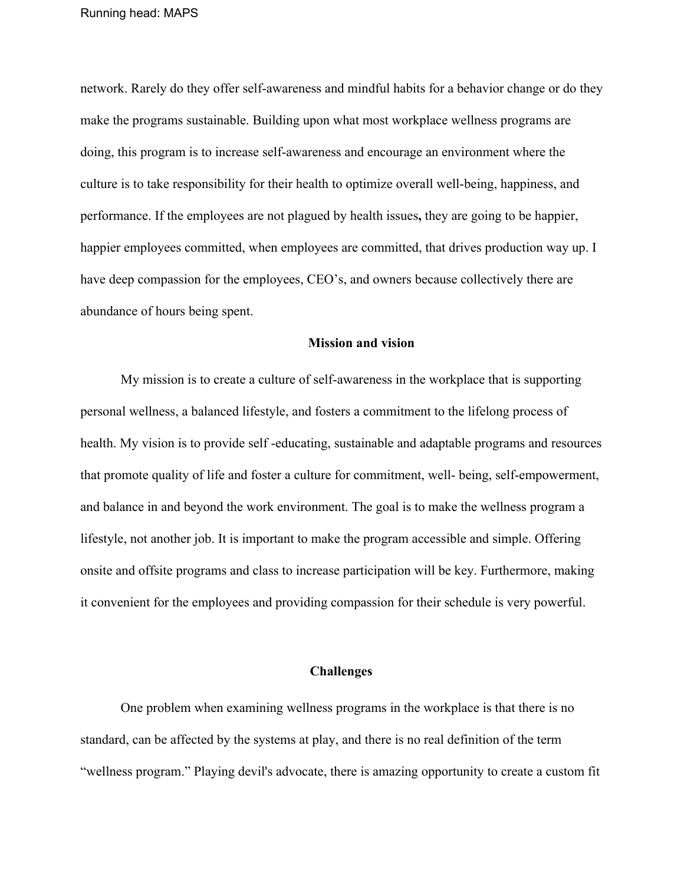network. Rarely do they offer self-awareness and mindful habits for a behavior change or do they make the programs sustainable. Building upon what most workplace wellness programs are doing, this program is to increase self-awareness and encourage an environment where the culture is to take responsibility for their health to optimize overall well-being, happiness, and performance. If the employees are not plagued by health issues**,** they are going to be happier, happier employees committed, when employees are committed, that drives production way up. I have deep compassion for the employees, CEO's, and owners because collectively there are abundance of hours being spent.

#### **Mission and vision**

My mission is to create a culture of self-awareness in the workplace that is supporting personal wellness, a balanced lifestyle, and fosters a commitment to the lifelong process of health. My vision is to provide self -educating, sustainable and adaptable programs and resources that promote quality of life and foster a culture for commitment, well- being, self-empowerment, and balance in and beyond the work environment. The goal is to make the wellness program a lifestyle, not another job. It is important to make the program accessible and simple. Offering onsite and offsite programs and class to increase participation will be key. Furthermore, making it convenient for the employees and providing compassion for their schedule is very powerful.

#### **Challenges**

One problem when examining wellness programs in the workplace is that there is no standard, can be affected by the systems at play, and there is no real definition of the term "wellness program." Playing devil's advocate, there is amazing opportunity to create a custom fit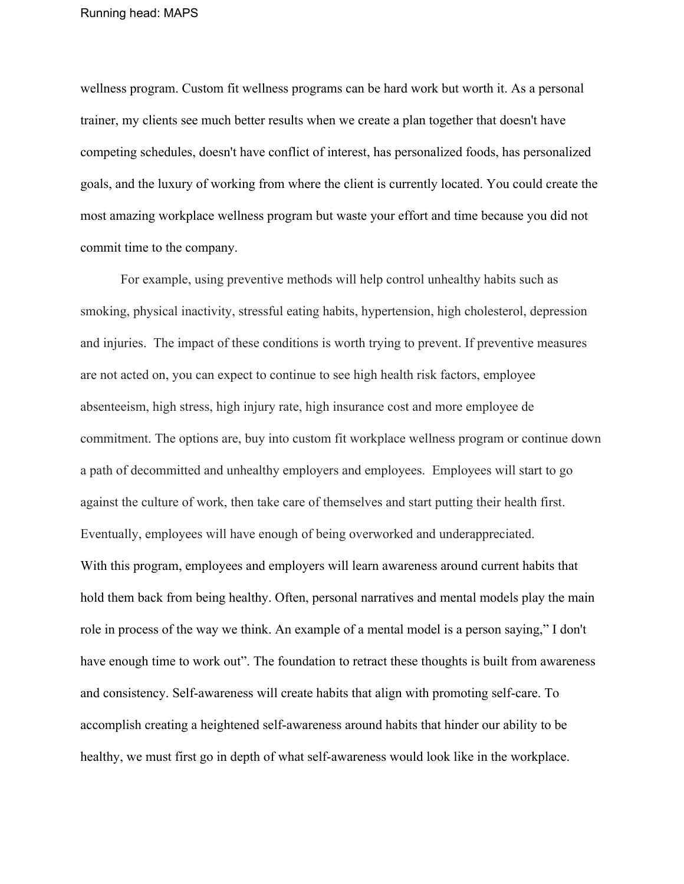wellness program. Custom fit wellness programs can be hard work but worth it. As a personal trainer, my clients see much better results when we create a plan together that doesn't have competing schedules, doesn't have conflict of interest, has personalized foods, has personalized goals, and the luxury of working from where the client is currently located. You could create the most amazing workplace wellness program but waste your effort and time because you did not commit time to the company.

For example, using preventive methods will help control unhealthy habits such as smoking, physical inactivity, stressful eating habits, hypertension, high cholesterol, depression and injuries. The impact of these conditions is worth trying to prevent. If preventive measures are not acted on, you can expect to continue to see high health risk factors, employee absenteeism, high stress, high injury rate, high insurance cost and more employee de commitment. The options are, buy into custom fit workplace wellness program or continue down a path of decommitted and unhealthy employers and employees. Employees will start to go against the culture of work, then take care of themselves and start putting their health first. Eventually, employees will have enough of being overworked and underappreciated. With this program, employees and employers will learn awareness around current habits that hold them back from being healthy. Often, personal narratives and mental models play the main role in process of the way we think. An example of a mental model is a person saying," I don't have enough time to work out". The foundation to retract these thoughts is built from awareness and consistency. Self-awareness will create habits that align with promoting self-care. To accomplish creating a heightened self-awareness around habits that hinder our ability to be healthy, we must first go in depth of what self-awareness would look like in the workplace.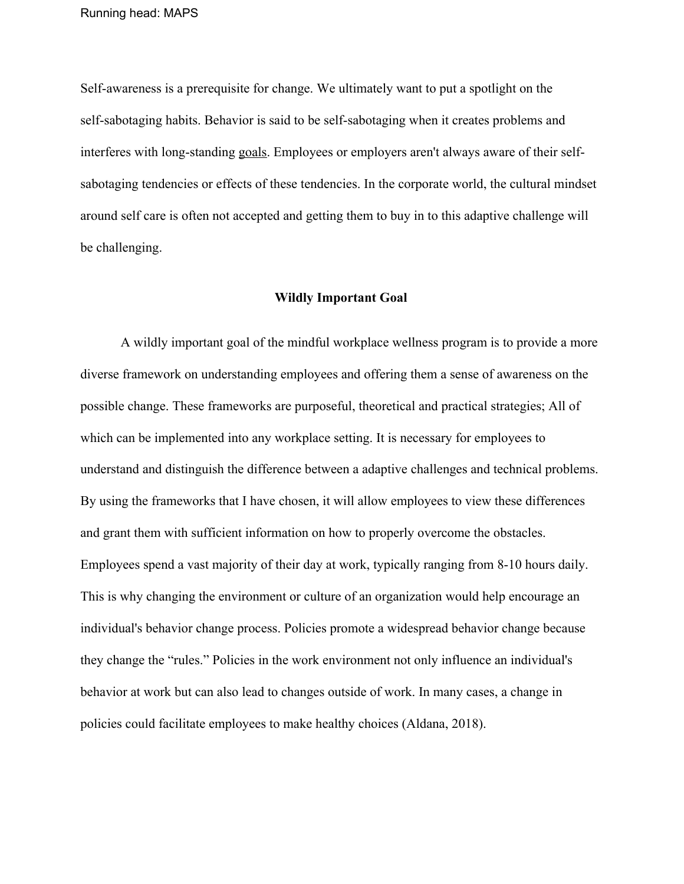Self-awareness is a prerequisite for change. We ultimately want to put a spotlight on the self-sabotaging habits. Behavior is said to be self-sabotaging when it creates problems and interferes with long-standing [goals.](https://www.psychologytoday.com/us/basics/motivation) Employees or employers aren't always aware of their selfsabotaging tendencies or effects of these tendencies. In the corporate world, the cultural mindset around self care is often not accepted and getting them to buy in to this adaptive challenge will be challenging.

#### **Wildly Important Goal**

A wildly important goal of the mindful workplace wellness program is to provide a more diverse framework on understanding employees and offering them a sense of awareness on the possible change. These frameworks are purposeful, theoretical and practical strategies; All of which can be implemented into any workplace setting. It is necessary for employees to understand and distinguish the difference between a adaptive challenges and technical problems. By using the frameworks that I have chosen, it will allow employees to view these differences and grant them with sufficient information on how to properly overcome the obstacles. Employees spend a vast majority of their day at work, typically ranging from 8-10 hours daily. This is why changing the environment or culture of an organization would help encourage an individual's behavior change process. Policies promote a widespread behavior change because they change the "rules." Policies in the work environment not only influence an individual's behavior at work but can also lead to changes outside of work. In many cases, a change in policies could facilitate employees to make healthy choices (Aldana, 2018).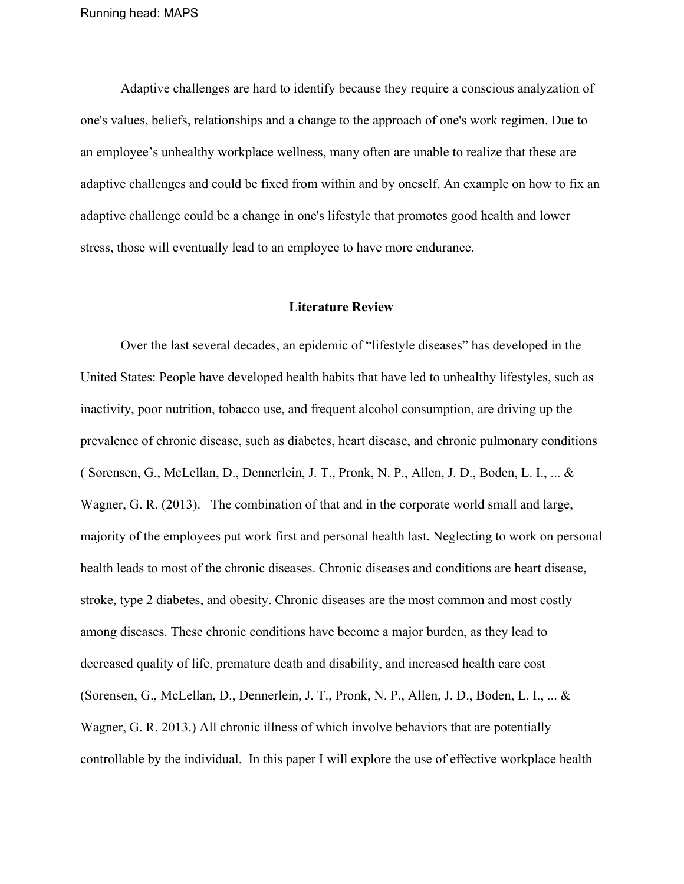Adaptive challenges are hard to identify because they require a conscious analyzation of one's values, beliefs, relationships and a change to the approach of one's work regimen. Due to an employee's unhealthy workplace wellness, many often are unable to realize that these are adaptive challenges and could be fixed from within and by oneself. An example on how to fix an adaptive challenge could be a change in one's lifestyle that promotes good health and lower stress, those will eventually lead to an employee to have more endurance.

#### **Literature Review**

Over the last several decades, an epidemic of "lifestyle diseases" has developed in the United States: People have developed health habits that have led to unhealthy lifestyles, such as inactivity, poor nutrition, tobacco use, and frequent alcohol consumption, are driving up the prevalence of chronic disease, such as diabetes, heart disease, and chronic pulmonary conditions ( Sorensen, G., McLellan, D., Dennerlein, J. T., Pronk, N. P., Allen, J. D., Boden, L. I., ... & Wagner, G. R. (2013). The combination of that and in the corporate world small and large, majority of the employees put work first and personal health last. Neglecting to work on personal health leads to most of the chronic diseases. Chronic diseases and conditions are heart disease, stroke, type 2 diabetes, and obesity. Chronic diseases are the most common and most costly among diseases. These chronic conditions have become a major burden, as they lead to decreased quality of life, premature death and disability, and increased health care cost (Sorensen, G., McLellan, D., Dennerlein, J. T., Pronk, N. P., Allen, J. D., Boden, L. I., ... & Wagner, G. R. 2013.) All chronic illness of which involve behaviors that are potentially controllable by the individual. In this paper I will explore the use of effective workplace health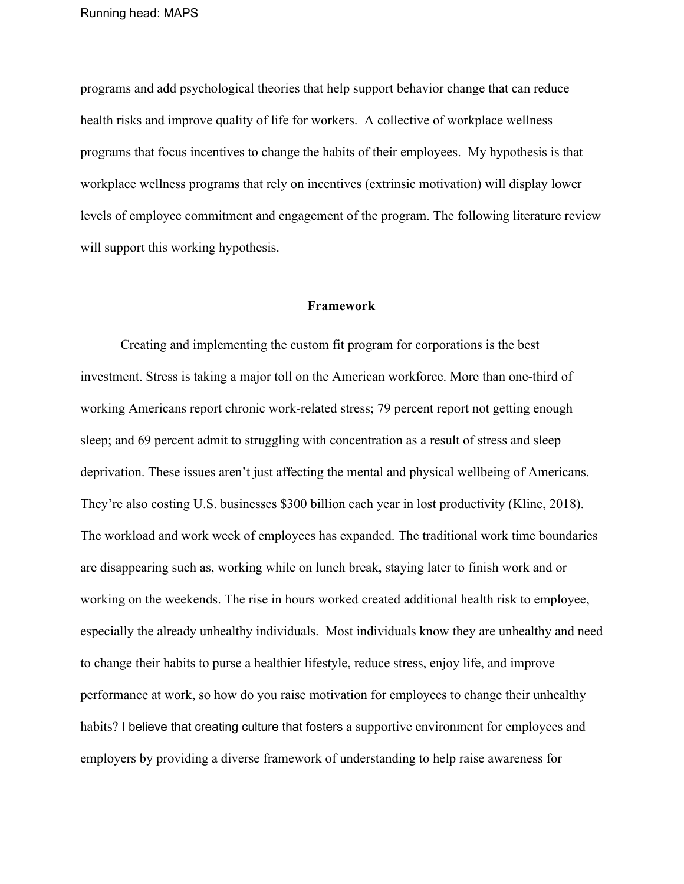programs and add psychological theories that help support behavior change that can reduce health risks and improve quality of life for workers. A collective of workplace wellness programs that focus incentives to change the habits of their employees. My hypothesis is that workplace wellness programs that rely on incentives (extrinsic motivation) will display lower levels of employee commitment and engagement of the program. The following literature review will support this working hypothesis.

#### **Framework**

Creating and implementing the custom fit program for corporations is the best investment. Stress is taking a major toll on the American workforce. More tha[n](http://www.business.com/productivity/the-importance-of-self-care-for-productivity-in-an-office-environment/) [one-third of](http://www.business.com/productivity/the-importance-of-self-care-for-productivity-in-an-office-environment/) [working Americans](http://www.business.com/productivity/the-importance-of-self-care-for-productivity-in-an-office-environment/) report chronic work-related stress; 79 percent report not getting enough sleep; and 69 percent admit to struggling with concentration as a result of stress and sleep deprivation. These issues aren't just affecting the mental and physical wellbeing of Americans. They're also costing U.S. businesses \$300 billion each year in lost productivity (Kline, 2018). The workload and work week of employees has expanded. The traditional work time boundaries are disappearing such as, working while on lunch break, staying later to finish work and or working on the weekends. The rise in hours worked created additional health risk to employee, especially the already unhealthy individuals. Most individuals know they are unhealthy and need to change their habits to purse a healthier lifestyle, reduce stress, enjoy life, and improve performance at work, so how do you raise motivation for employees to change their unhealthy habits? I believe that creating culture that fosters a supportive environment for employees and employers by providing a diverse framework of understanding to help raise awareness for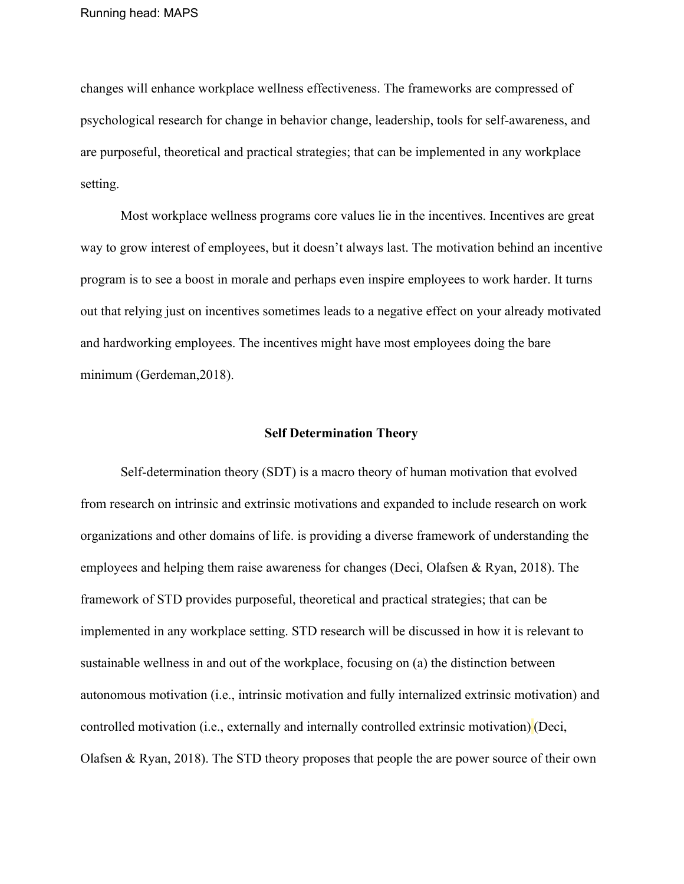changes will enhance workplace wellness effectiveness. The frameworks are compressed of psychological research for change in behavior change, leadership, tools for self-awareness, and are purposeful, theoretical and practical strategies; that can be implemented in any workplace setting.

Most workplace wellness programs core values lie in the incentives. Incentives are great way to grow interest of employees, but it doesn't always last. The motivation behind an incentive program is to see a boost in morale and perhaps even inspire employees to work harder. It turns out that relying just on incentives sometimes leads to a negative effect on your already motivated and hardworking employees. The incentives might have most employees doing the bare minimum (Gerdeman,2018).

#### **Self Determination Theory**

Self-determination theory (SDT) is a macro theory of human motivation that evolved from research on intrinsic and extrinsic motivations and expanded to include research on work organizations and other domains of life. is providing a diverse framework of understanding the employees and helping them raise awareness for changes (Deci, Olafsen & Ryan, 2018). The framework of STD provides purposeful, theoretical and practical strategies; that can be implemented in any workplace setting. STD research will be discussed in how it is relevant to sustainable wellness in and out of the workplace, focusing on (a) the distinction between autonomous motivation (i.e., intrinsic motivation and fully internalized extrinsic motivation) and controlled motivation (i.e., externally and internally controlled extrinsic motivation) (Deci, Olafsen & Ryan, 2018). The STD theory proposes that people the are power source of their own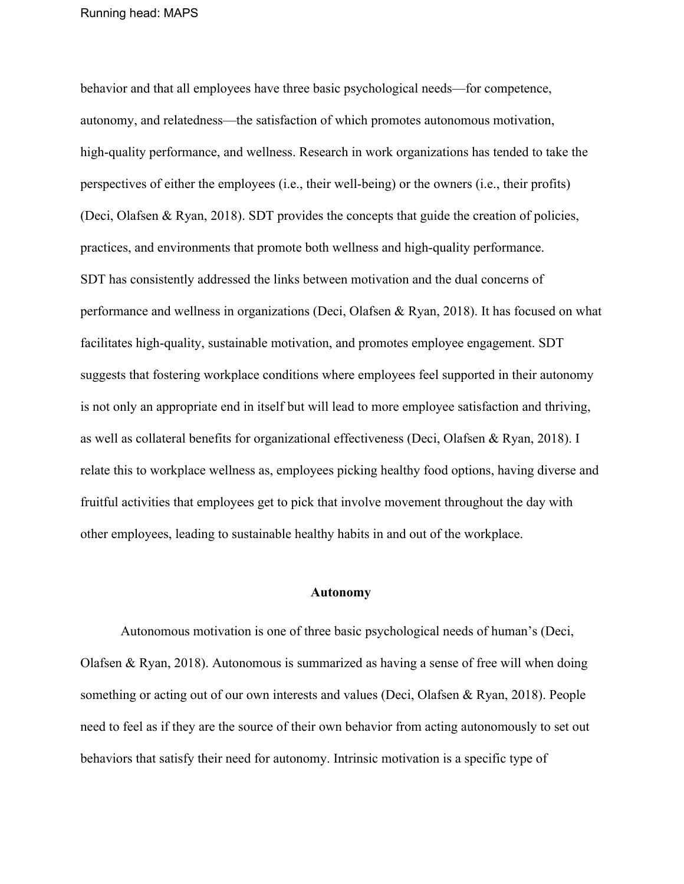behavior and that all employees have three basic psychological needs—for competence, autonomy, and relatedness—the satisfaction of which promotes autonomous motivation, high-quality performance, and wellness. Research in work organizations has tended to take the perspectives of either the employees (i.e., their well-being) or the owners (i.e., their profits) (Deci, Olafsen & Ryan, 2018). SDT provides the concepts that guide the creation of policies, practices, and environments that promote both wellness and high-quality performance. SDT has consistently addressed the links between motivation and the dual concerns of performance and wellness in organizations (Deci, Olafsen & Ryan, 2018). It has focused on what facilitates high-quality, sustainable motivation, and promotes employee engagement. SDT suggests that fostering workplace conditions where employees feel supported in their autonomy is not only an appropriate end in itself but will lead to more employee satisfaction and thriving, as well as collateral benefits for organizational effectiveness (Deci, Olafsen & Ryan, 2018). I relate this to workplace wellness as, employees picking healthy food options, having diverse and fruitful activities that employees get to pick that involve movement throughout the day with other employees, leading to sustainable healthy habits in and out of the workplace.

#### **Autonomy**

Autonomous motivation is one of three basic psychological needs of human's (Deci, Olafsen & Ryan, 2018). Autonomous is summarized as having a sense of free will when doing something or acting out of our own interests and values (Deci, Olafsen & Ryan, 2018). People need to feel as if they are the source of their own behavior from acting autonomously to set out behaviors that satisfy their need for autonomy. Intrinsic motivation is a specific type of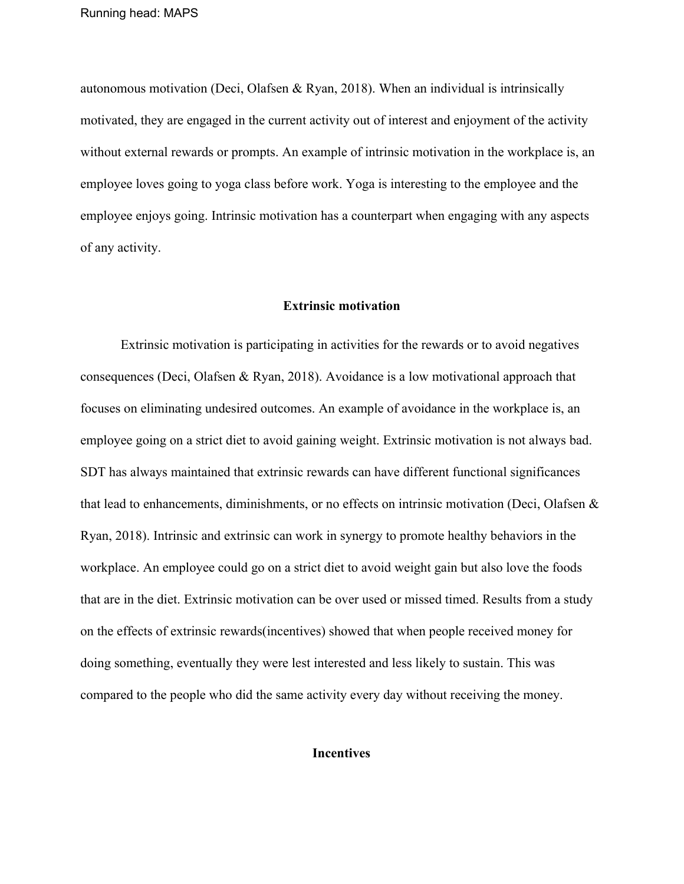autonomous motivation (Deci, Olafsen & Ryan, 2018). When an individual is intrinsically motivated, they are engaged in the current activity out of interest and enjoyment of the activity without external rewards or prompts. An example of intrinsic motivation in the workplace is, an employee loves going to yoga class before work. Yoga is interesting to the employee and the employee enjoys going. Intrinsic motivation has a counterpart when engaging with any aspects of any activity.

#### **Extrinsic motivation**

Extrinsic motivation is participating in activities for the rewards or to avoid negatives consequences (Deci, Olafsen & Ryan, 2018). Avoidance is a low motivational approach that focuses on eliminating undesired outcomes. An example of avoidance in the workplace is, an employee going on a strict diet to avoid gaining weight. Extrinsic motivation is not always bad. SDT has always maintained that extrinsic rewards can have different functional significances that lead to enhancements, diminishments, or no effects on intrinsic motivation (Deci, Olafsen & Ryan, 2018). Intrinsic and extrinsic can work in synergy to promote healthy behaviors in the workplace. An employee could go on a strict diet to avoid weight gain but also love the foods that are in the diet. Extrinsic motivation can be over used or missed timed. Results from a study on the effects of extrinsic rewards(incentives) showed that when people received money for doing something, eventually they were lest interested and less likely to sustain. This was compared to the people who did the same activity every day without receiving the money.

#### **Incentives**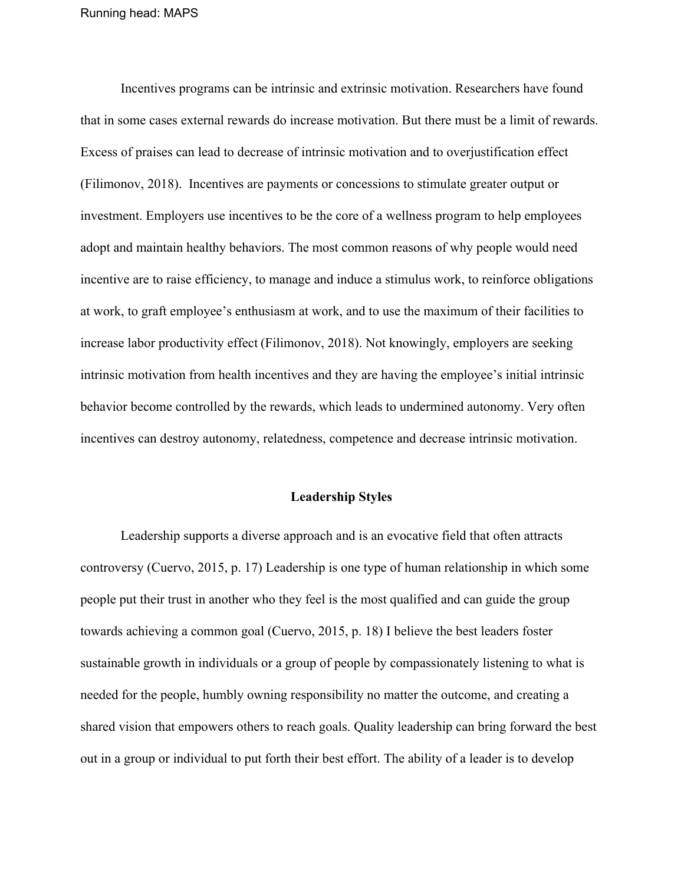Incentives programs can be intrinsic and extrinsic motivation. Researchers have found that in some cases external rewards do increase motivation. But there must be a limit of rewards. Excess of praises can lead to decrease of intrinsic motivation and to overjustification effect (Filimonov, 2018). Incentives are payments or concessions to stimulate greater output or investment. Employers use incentives to be the core of a wellness program to help employees adopt and maintain healthy behaviors. The most common reasons of why people would need incentive are to raise efficiency, to manage and induce a stimulus work, to reinforce obligations at work, to graft employee's enthusiasm at work, and to use the maximum of their facilities to increase labor productivity effect (Filimonov, 2018). Not knowingly, employers are seeking intrinsic motivation from health incentives and they are having the employee's initial intrinsic behavior become controlled by the rewards, which leads to undermined autonomy. Very often incentives can destroy autonomy, relatedness, competence and decrease intrinsic motivation.

#### **Leadership Styles**

Leadership supports a diverse approach and is an evocative field that often attracts controversy (Cuervo, 2015, p. 17) Leadership is one type of human relationship in which some people put their trust in another who they feel is the most qualified and can guide the group towards achieving a common goal (Cuervo, 2015, p. 18) I believe the best leaders foster sustainable growth in individuals or a group of people by compassionately listening to what is needed for the people, humbly owning responsibility no matter the outcome, and creating a shared vision that empowers others to reach goals. Quality leadership can bring forward the best out in a group or individual to put forth their best effort. The ability of a leader is to develop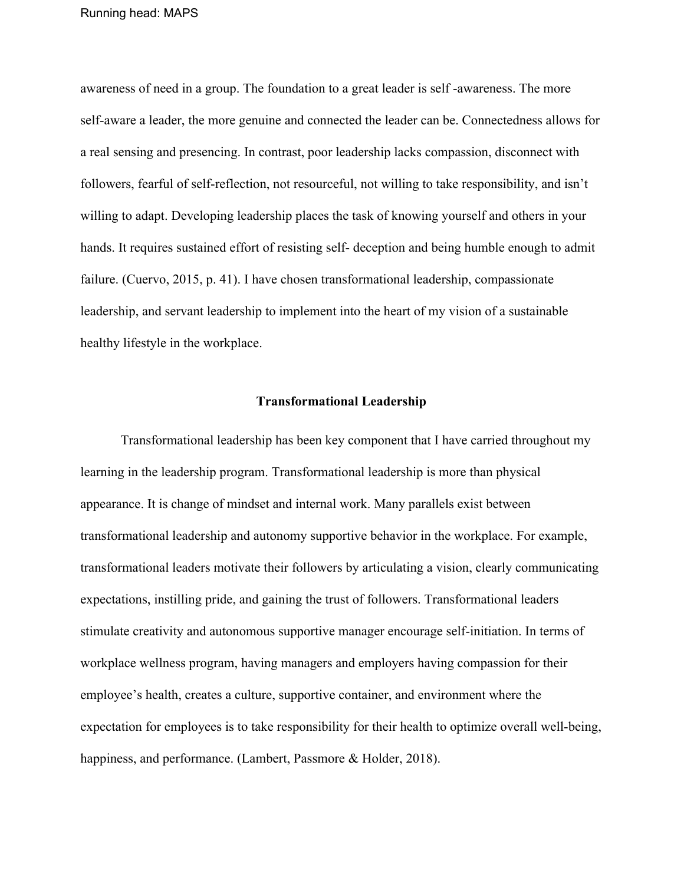awareness of need in a group. The foundation to a great leader is self -awareness. The more self-aware a leader, the more genuine and connected the leader can be. Connectedness allows for a real sensing and presencing. In contrast, poor leadership lacks compassion, disconnect with followers, fearful of self-reflection, not resourceful, not willing to take responsibility, and isn't willing to adapt. Developing leadership places the task of knowing yourself and others in your hands. It requires sustained effort of resisting self- deception and being humble enough to admit failure. (Cuervo, 2015, p. 41). I have chosen transformational leadership, compassionate leadership, and servant leadership to implement into the heart of my vision of a sustainable healthy lifestyle in the workplace.

#### **Transformational Leadership**

Transformational leadership has been key component that I have carried throughout my learning in the leadership program. Transformational leadership is more than physical appearance. It is change of mindset and internal work. Many parallels exist between transformational leadership and autonomy supportive behavior in the workplace. For example, transformational leaders motivate their followers by articulating a vision, clearly communicating expectations, instilling pride, and gaining the trust of followers. Transformational leaders stimulate creativity and autonomous supportive manager encourage self-initiation. In terms of workplace wellness program, having managers and employers having compassion for their employee's health, creates a culture, supportive container, and environment where the expectation for employees is to take responsibility for their health to optimize overall well-being, happiness, and performance. (Lambert, Passmore & Holder, 2018).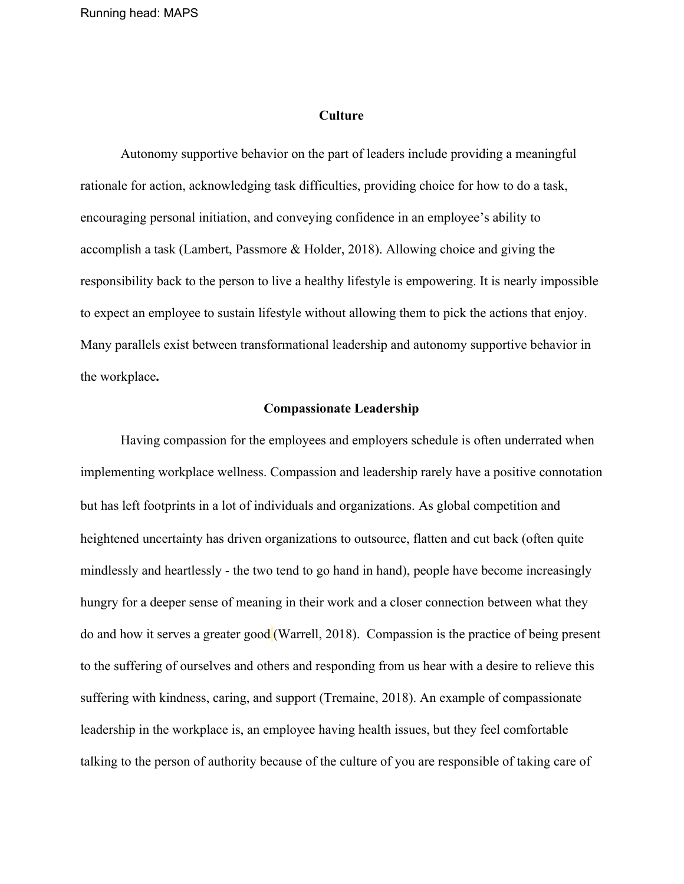#### **Culture**

Autonomy supportive behavior on the part of leaders include providing a meaningful rationale for action, acknowledging task difficulties, providing choice for how to do a task, encouraging personal initiation, and conveying confidence in an employee's ability to accomplish a task (Lambert, Passmore & Holder, 2018). Allowing choice and giving the responsibility back to the person to live a healthy lifestyle is empowering. It is nearly impossible to expect an employee to sustain lifestyle without allowing them to pick the actions that enjoy. Many parallels exist between transformational leadership and autonomy supportive behavior in the workplace**.**

#### **Compassionate Leadership**

Having compassion for the employees and employers schedule is often underrated when implementing workplace wellness. Compassion and leadership rarely have a positive connotation but has left footprints in a lot of individuals and organizations. As global competition and heightened uncertainty has driven organizations to outsource, flatten and cut back (often quite mindlessly and heartlessly - the two tend to go hand in hand), people have become increasingly hungry for a deeper sense of meaning in their work and a closer connection between what they do and how it serves a greater good (Warrell, 2018). Compassion is the practice of being present to the suffering of ourselves and others and responding from us hear with a desire to relieve this suffering with kindness, caring, and support (Tremaine, 2018). An example of compassionate leadership in the workplace is, an employee having health issues, but they feel comfortable talking to the person of authority because of the culture of you are responsible of taking care of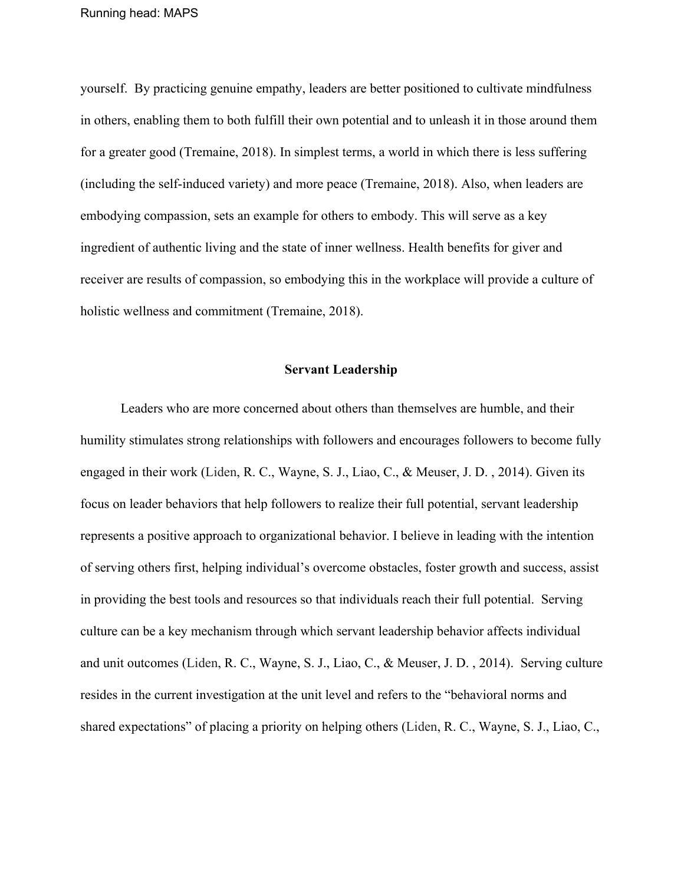yourself. By practicing genuine empathy, leaders are better positioned to cultivate mindfulness in others, enabling them to both fulfill their own potential and to unleash it in those around them for a greater good (Tremaine, 2018). In simplest terms, a world in which there is less suffering (including the self-induced variety) and more peace (Tremaine, 2018). Also, when leaders are embodying compassion, sets an example for others to embody. This will serve as a key ingredient of authentic living and the state of inner wellness. Health benefits for giver and receiver are results of compassion, so embodying this in the workplace will provide a culture of holistic wellness and commitment (Tremaine, 2018).

#### **Servant Leadership**

Leaders who are more concerned about others than themselves are humble, and their humility stimulates strong relationships with followers and encourages followers to become fully engaged in their work (Liden, R. C., Wayne, S. J., Liao, C., & Meuser, J. D. , 2014). Given its focus on leader behaviors that help followers to realize their full potential, servant leadership represents a positive approach to organizational behavior. I believe in leading with the intention of serving others first, helping individual's overcome obstacles, foster growth and success, assist in providing the best tools and resources so that individuals reach their full potential. Serving culture can be a key mechanism through which servant leadership behavior affects individual and unit outcomes (Liden, R. C., Wayne, S. J., Liao, C., & Meuser, J. D. , 2014). Serving culture resides in the current investigation at the unit level and refers to the "behavioral norms and shared expectations" of placing a priority on helping others (Liden, R. C., Wayne, S. J., Liao, C.,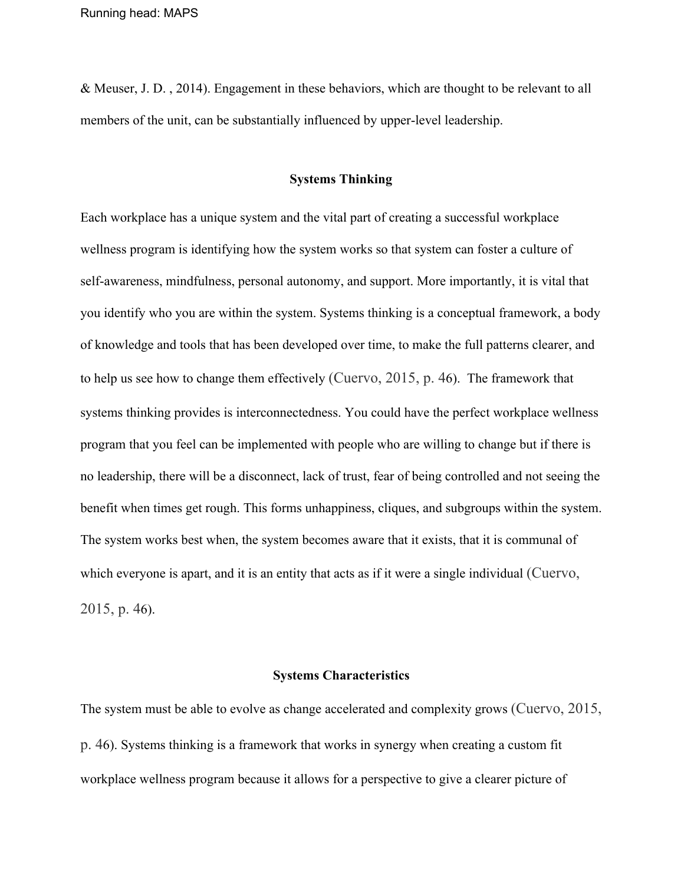& Meuser, J. D. , 2014). Engagement in these behaviors, which are thought to be relevant to all members of the unit, can be substantially influenced by upper-level leadership.

#### **Systems Thinking**

Each workplace has a unique system and the vital part of creating a successful workplace wellness program is identifying how the system works so that system can foster a culture of self-awareness, mindfulness, personal autonomy, and support. More importantly, it is vital that you identify who you are within the system. Systems thinking is a conceptual framework, a body of knowledge and tools that has been developed over time, to make the full patterns clearer, and to help us see how to change them effectively (Cuervo, 2015, p. 46). The framework that systems thinking provides is interconnectedness. You could have the perfect workplace wellness program that you feel can be implemented with people who are willing to change but if there is no leadership, there will be a disconnect, lack of trust, fear of being controlled and not seeing the benefit when times get rough. This forms unhappiness, cliques, and subgroups within the system. The system works best when, the system becomes aware that it exists, that it is communal of which everyone is apart, and it is an entity that acts as if it were a single individual (Cuervo, 2015, p. 46).

#### **Systems Characteristics**

The system must be able to evolve as change accelerated and complexity grows (Cuervo, 2015, p. 46). Systems thinking is a framework that works in synergy when creating a custom fit workplace wellness program because it allows for a perspective to give a clearer picture of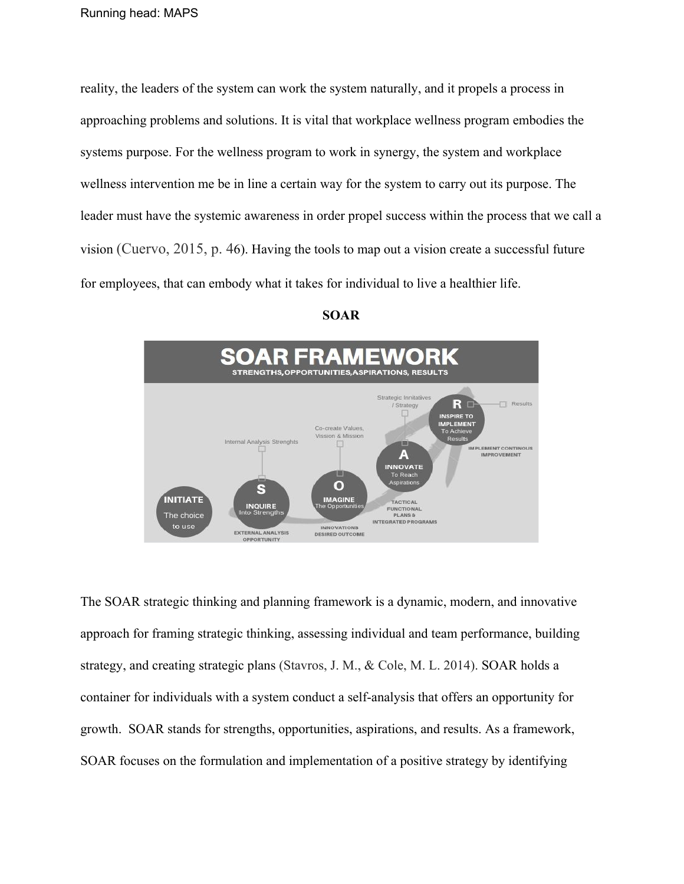reality, the leaders of the system can work the system naturally, and it propels a process in approaching problems and solutions. It is vital that workplace wellness program embodies the systems purpose. For the wellness program to work in synergy, the system and workplace wellness intervention me be in line a certain way for the system to carry out its purpose. The leader must have the systemic awareness in order propel success within the process that we call a vision (Cuervo, 2015, p. 46). Having the tools to map out a vision create a successful future for employees, that can embody what it takes for individual to live a healthier life.





The SOAR strategic thinking and planning framework is a dynamic, modern, and innovative approach for framing strategic thinking, assessing individual and team performance, building strategy, and creating strategic plans (Stavros, J. M., & Cole, M. L. 2014). SOAR holds a container for individuals with a system conduct a self-analysis that offers an opportunity for growth. SOAR stands for strengths, opportunities, aspirations, and results. As a framework, SOAR focuses on the formulation and implementation of a positive strategy by identifying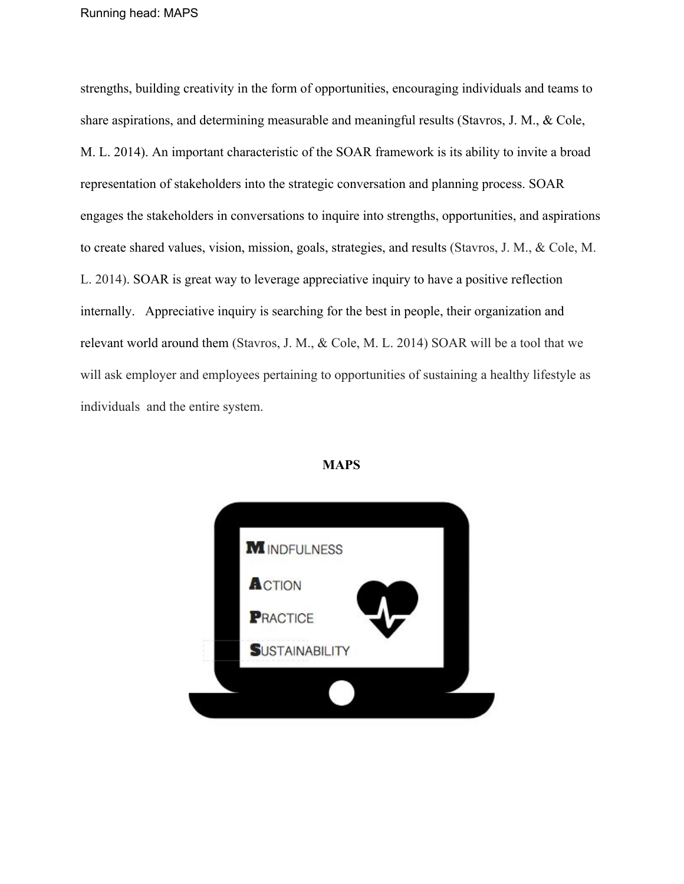strengths, building creativity in the form of opportunities, encouraging individuals and teams to share aspirations, and determining measurable and meaningful results (Stavros, J. M., & Cole, M. L. 2014). An important characteristic of the SOAR framework is its ability to invite a broad representation of stakeholders into the strategic conversation and planning process. SOAR engages the stakeholders in conversations to inquire into strengths, opportunities, and aspirations to create shared values, vision, mission, goals, strategies, and results (Stavros, J. M., & Cole, M. L. 2014). SOAR is great way to leverage appreciative inquiry to have a positive reflection internally. Appreciative inquiry is searching for the best in people, their organization and relevant world around them (Stavros, J. M., & Cole, M. L. 2014) SOAR will be a tool that we will ask employer and employees pertaining to opportunities of sustaining a healthy lifestyle as individuals and the entire system.



#### **MAPS**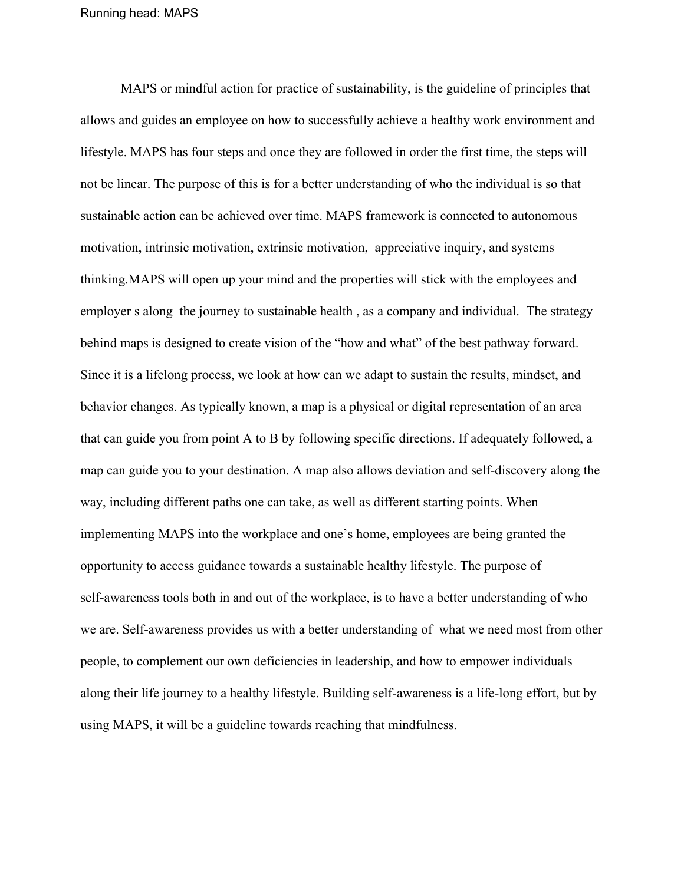MAPS or mindful action for practice of sustainability, is the guideline of principles that allows and guides an employee on how to successfully achieve a healthy work environment and lifestyle. MAPS has four steps and once they are followed in order the first time, the steps will not be linear. The purpose of this is for a better understanding of who the individual is so that sustainable action can be achieved over time. MAPS framework is connected to autonomous motivation, intrinsic motivation, extrinsic motivation, appreciative inquiry, and systems thinking.MAPS will open up your mind and the properties will stick with the employees and employer s along the journey to sustainable health , as a company and individual. The strategy behind maps is designed to create vision of the "how and what" of the best pathway forward. Since it is a lifelong process, we look at how can we adapt to sustain the results, mindset, and behavior changes. As typically known, a map is a physical or digital representation of an area that can guide you from point A to B by following specific directions. If adequately followed, a map can guide you to your destination. A map also allows deviation and self-discovery along the way, including different paths one can take, as well as different starting points. When implementing MAPS into the workplace and one's home, employees are being granted the opportunity to access guidance towards a sustainable healthy lifestyle. The purpose of self-awareness tools both in and out of the workplace, is to have a better understanding of who we are. Self-awareness provides us with a better understanding of what we need most from other people, to complement our own deficiencies in leadership, and how to empower individuals along their life journey to a healthy lifestyle. Building self-awareness is a life-long effort, but by using MAPS, it will be a guideline towards reaching that mindfulness.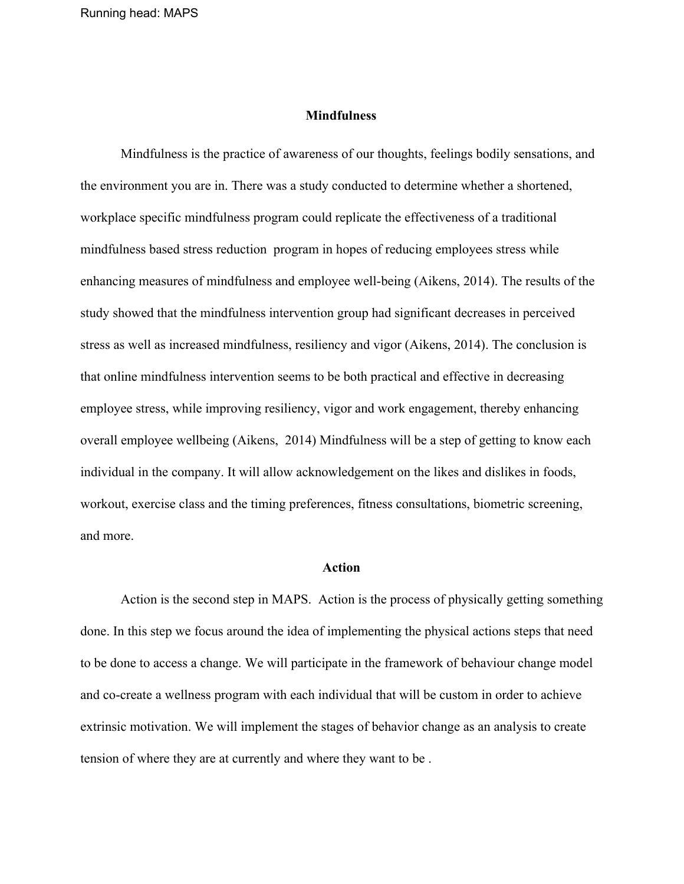#### **Mindfulness**

Mindfulness is the practice of awareness of our thoughts, feelings bodily sensations, and the environment you are in. There was a study conducted to determine whether a shortened, workplace specific mindfulness program could replicate the effectiveness of a traditional mindfulness based stress reduction program in hopes of reducing employees stress while enhancing measures of mindfulness and employee well-being (Aikens, 2014). The results of the study showed that the mindfulness intervention group had significant decreases in perceived stress as well as increased mindfulness, resiliency and vigor (Aikens, 2014). The conclusion is that online mindfulness intervention seems to be both practical and effective in decreasing employee stress, while improving resiliency, vigor and work engagement, thereby enhancing overall employee wellbeing (Aikens, 2014) Mindfulness will be a step of getting to know each individual in the company. It will allow acknowledgement on the likes and dislikes in foods, workout, exercise class and the timing preferences, fitness consultations, biometric screening, and more.

#### **Action**

Action is the second step in MAPS. Action is the process of physically getting something done. In this step we focus around the idea of implementing the physical actions steps that need to be done to access a change. We will participate in the framework of behaviour change model and co-create a wellness program with each individual that will be custom in order to achieve extrinsic motivation. We will implement the stages of behavior change as an analysis to create tension of where they are at currently and where they want to be .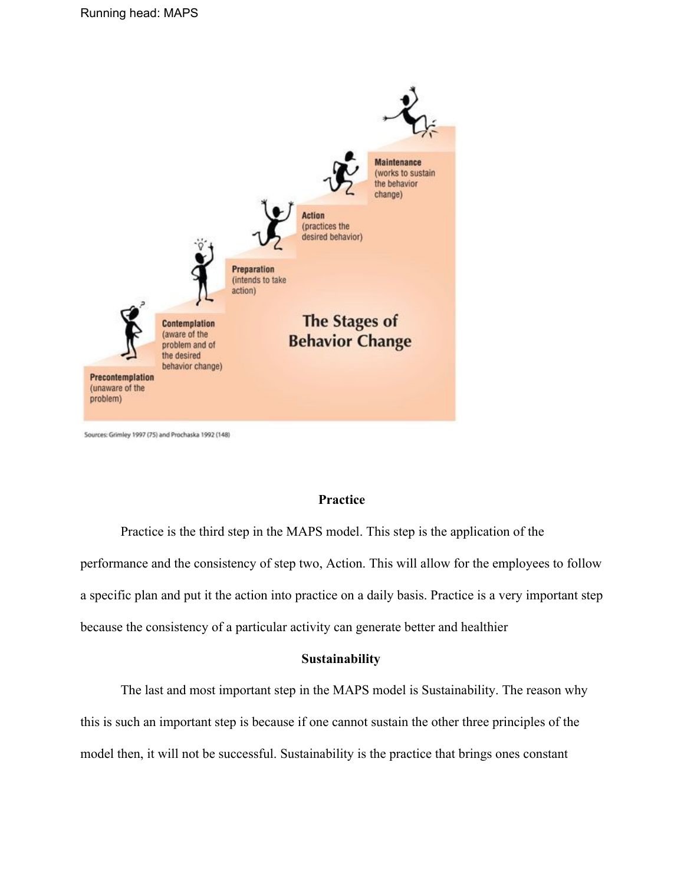

Sources: Grimley 1997 (75) and Prochaska 1992 (148)

#### **Practice**

Practice is the third step in the MAPS model. This step is the application of the performance and the consistency of step two, Action. This will allow for the employees to follow a specific plan and put it the action into practice on a daily basis. Practice is a very important step because the consistency of a particular activity can generate better and healthier

#### **Sustainability**

The last and most important step in the MAPS model is Sustainability. The reason why this is such an important step is because if one cannot sustain the other three principles of the model then, it will not be successful. Sustainability is the practice that brings ones constant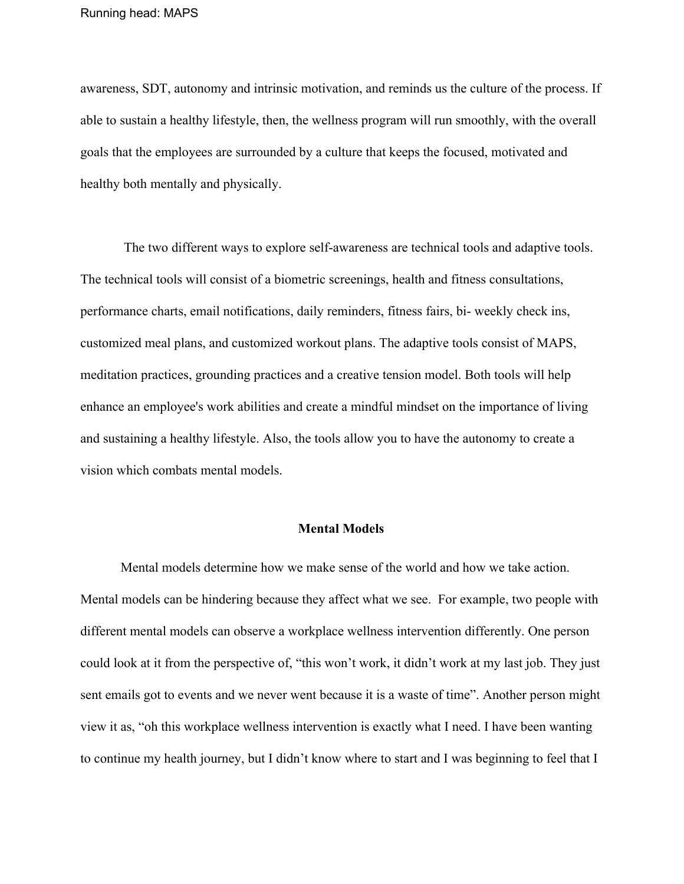awareness, SDT, autonomy and intrinsic motivation, and reminds us the culture of the process. If able to sustain a healthy lifestyle, then, the wellness program will run smoothly, with the overall goals that the employees are surrounded by a culture that keeps the focused, motivated and healthy both mentally and physically.

 The two different ways to explore self-awareness are technical tools and adaptive tools. The technical tools will consist of a biometric screenings, health and fitness consultations, performance charts, email notifications, daily reminders, fitness fairs, bi- weekly check ins, customized meal plans, and customized workout plans. The adaptive tools consist of MAPS, meditation practices, grounding practices and a creative tension model. Both tools will help enhance an employee's work abilities and create a mindful mindset on the importance of living and sustaining a healthy lifestyle. Also, the tools allow you to have the autonomy to create a vision which combats mental models.

#### **Mental Models**

Mental models determine how we make sense of the world and how we take action. Mental models can be hindering because they affect what we see. For example, two people with different mental models can observe a workplace wellness intervention differently. One person could look at it from the perspective of, "this won't work, it didn't work at my last job. They just sent emails got to events and we never went because it is a waste of time". Another person might view it as, "oh this workplace wellness intervention is exactly what I need. I have been wanting to continue my health journey, but I didn't know where to start and I was beginning to feel that I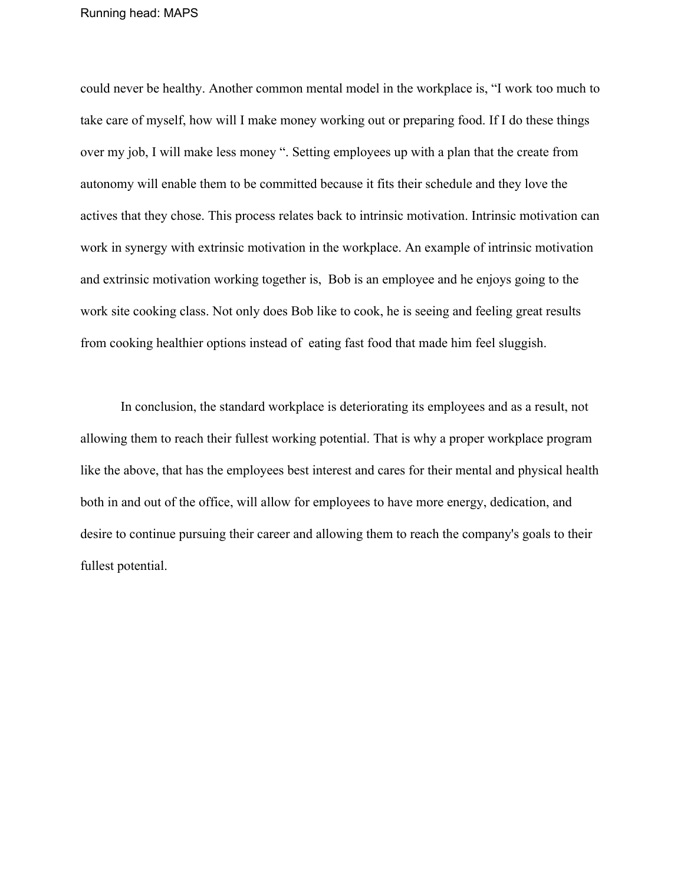could never be healthy. Another common mental model in the workplace is, "I work too much to take care of myself, how will I make money working out or preparing food. If I do these things over my job, I will make less money ". Setting employees up with a plan that the create from autonomy will enable them to be committed because it fits their schedule and they love the actives that they chose. This process relates back to intrinsic motivation. Intrinsic motivation can work in synergy with extrinsic motivation in the workplace. An example of intrinsic motivation and extrinsic motivation working together is, Bob is an employee and he enjoys going to the work site cooking class. Not only does Bob like to cook, he is seeing and feeling great results from cooking healthier options instead of eating fast food that made him feel sluggish.

In conclusion, the standard workplace is deteriorating its employees and as a result, not allowing them to reach their fullest working potential. That is why a proper workplace program like the above, that has the employees best interest and cares for their mental and physical health both in and out of the office, will allow for employees to have more energy, dedication, and desire to continue pursuing their career and allowing them to reach the company's goals to their fullest potential.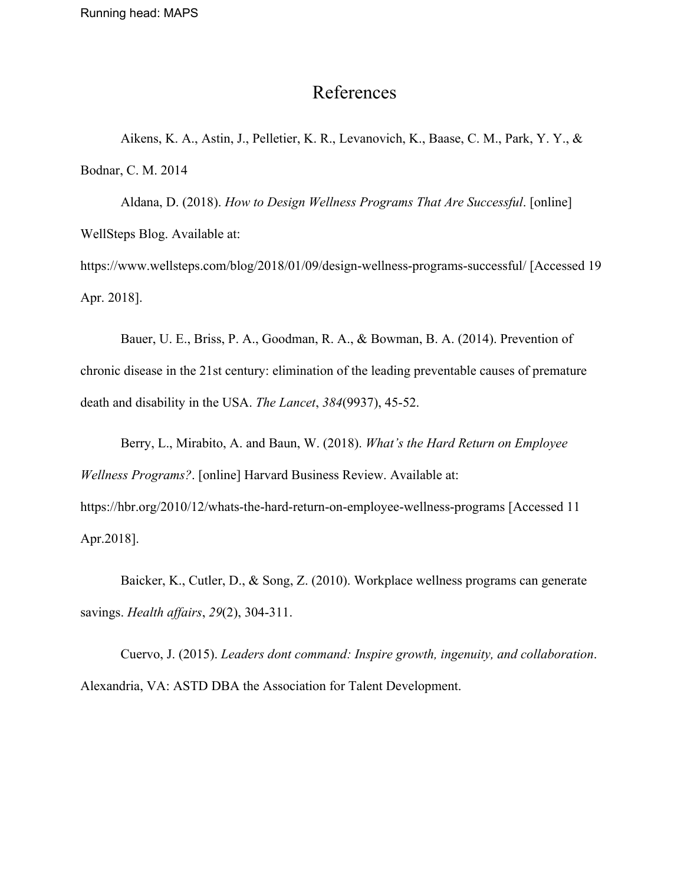### References

Aikens, K. A., Astin, J., Pelletier, K. R., Levanovich, K., Baase, C. M., Park, Y. Y., & Bodnar, C. M. 2014

Aldana, D. (2018). *How to Design Wellness Programs That Are Successful*. [online] WellSteps Blog. Available at:

https://www.wellsteps.com/blog/2018/01/09/design-wellness-programs-successful/ [Accessed 19 Apr. 2018].

Bauer, U. E., Briss, P. A., Goodman, R. A., & Bowman, B. A. (2014). Prevention of chronic disease in the 21st century: elimination of the leading preventable causes of premature death and disability in the USA. *The Lancet*, *384*(9937), 45-52.

Berry, L., Mirabito, A. and Baun, W. (2018). *What's the Hard Return on Employee Wellness Programs?*. [online] Harvard Business Review. Available at: https://hbr.org/2010/12/whats-the-hard-return-on-employee-wellness-programs [Accessed 11 Apr.2018].

Baicker, K., Cutler, D., & Song, Z. (2010). Workplace wellness programs can generate savings. *Health affairs*, *29*(2), 304-311.

Cuervo, J. (2015). *Leaders dont command: Inspire growth, ingenuity, and collaboration*. Alexandria, VA: ASTD DBA the Association for Talent Development.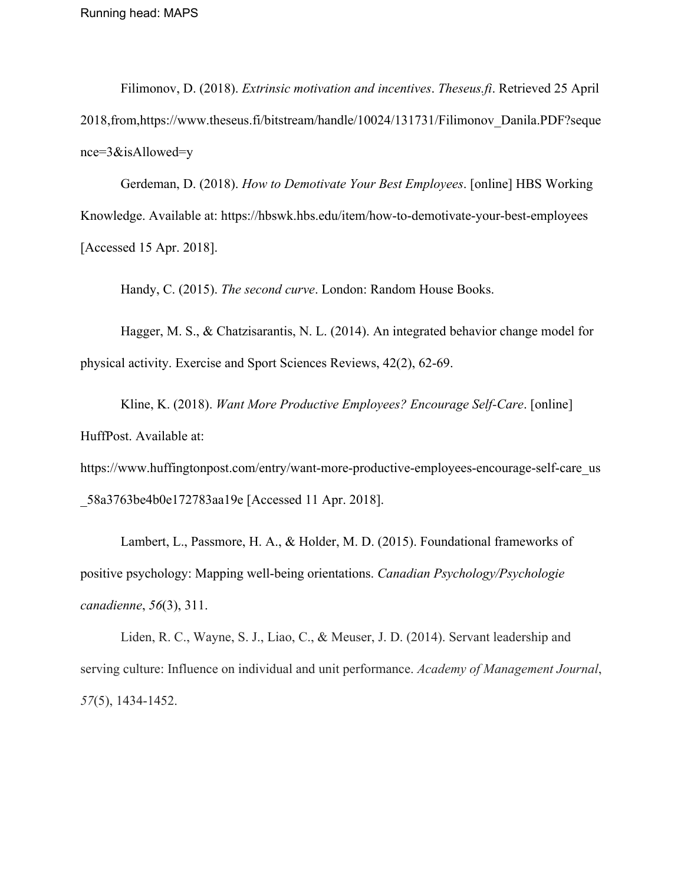Filimonov, D. (2018). *Extrinsic motivation and incentives*. *Theseus.fi*. Retrieved 25 April 2018,from,https://www.theseus.fi/bitstream/handle/10024/131731/Filimonov\_Danila.PDF?seque nce=3&isAllowed=y

Gerdeman, D. (2018). *How to Demotivate Your Best Employees*. [online] HBS Working Knowledge. Available at: https://hbswk.hbs.edu/item/how-to-demotivate-your-best-employees [Accessed 15 Apr. 2018].

Handy, C. (2015). *The second curve*. London: Random House Books.

Hagger, M. S., & Chatzisarantis, N. L. (2014). An integrated behavior change model for physical activity. Exercise and Sport Sciences Reviews, 42(2), 62-69.

Kline, K. (2018). *Want More Productive Employees? Encourage Self-Care*. [online] HuffPost. Available at:

https://www.huffingtonpost.com/entry/want-more-productive-employees-encourage-self-care\_us \_58a3763be4b0e172783aa19e [Accessed 11 Apr. 2018].

Lambert, L., Passmore, H. A., & Holder, M. D. (2015). Foundational frameworks of positive psychology: Mapping well-being orientations. *Canadian Psychology/Psychologie canadienne*, *56*(3), 311.

Liden, R. C., Wayne, S. J., Liao, C., & Meuser, J. D. (2014). Servant leadership and serving culture: Influence on individual and unit performance. *Academy of Management Journal*, *57*(5), 1434-1452.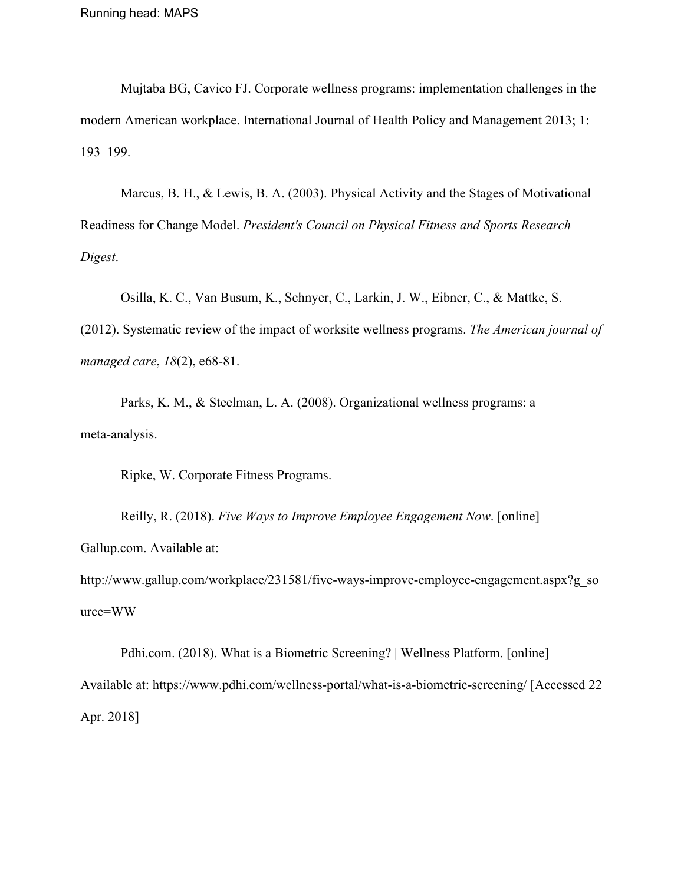Mujtaba BG, Cavico FJ. Corporate wellness programs: implementation challenges in the modern American workplace. International Journal of Health Policy and Management 2013; 1: 193–199.

Marcus, B. H., & Lewis, B. A. (2003). Physical Activity and the Stages of Motivational Readiness for Change Model. *President's Council on Physical Fitness and Sports Research Digest*.

Osilla, K. C., Van Busum, K., Schnyer, C., Larkin, J. W., Eibner, C., & Mattke, S.

(2012). Systematic review of the impact of worksite wellness programs. *The American journal of managed care*, *18*(2), e68-81.

Parks, K. M., & Steelman, L. A. (2008). Organizational wellness programs: a meta-analysis.

Ripke, W. Corporate Fitness Programs.

Reilly, R. (2018). *Five Ways to Improve Employee Engagement Now*. [online] Gallup.com. Available at:

http://www.gallup.com/workplace/231581/five-ways-improve-employee-engagement.aspx?g\_so urce=WW

Pdhi.com. (2018). What is a Biometric Screening? | Wellness Platform. [online] Available at: https://www.pdhi.com/wellness-portal/what-is-a-biometric-screening/ [Accessed 22 Apr. 2018]